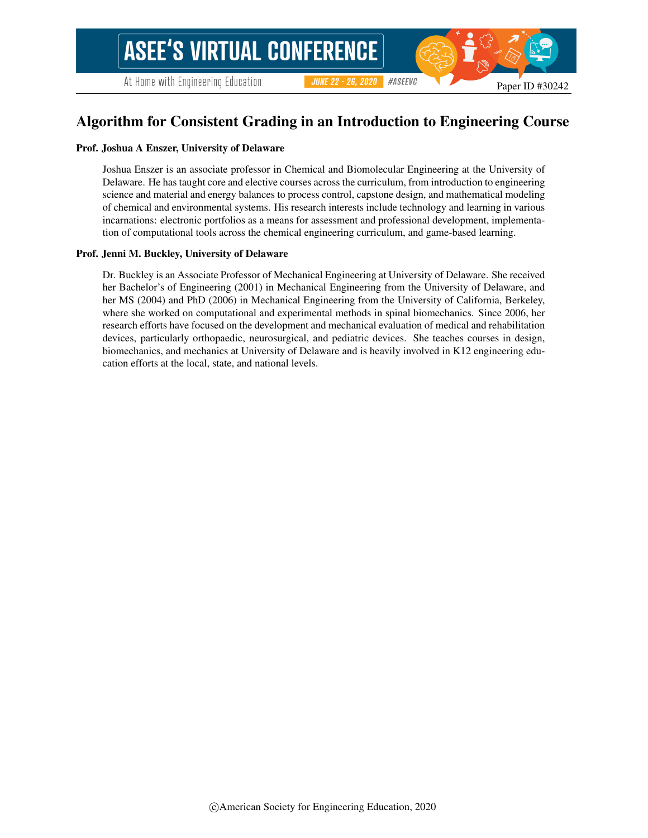Paper ID #30242

#### Prof. Joshua A Enszer, University of Delaware

Joshua Enszer is an associate professor in Chemical and Biomolecular Engineering at the University of Delaware. He has taught core and elective courses across the curriculum, from introduction to engineering science and material and energy balances to process control, capstone design, and mathematical modeling of chemical and environmental systems. His research interests include technology and learning in various incarnations: electronic portfolios as a means for assessment and professional development, implementation of computational tools across the chemical engineering curriculum, and game-based learning.

#### Prof. Jenni M. Buckley, University of Delaware

Dr. Buckley is an Associate Professor of Mechanical Engineering at University of Delaware. She received her Bachelor's of Engineering (2001) in Mechanical Engineering from the University of Delaware, and her MS (2004) and PhD (2006) in Mechanical Engineering from the University of California, Berkeley, where she worked on computational and experimental methods in spinal biomechanics. Since 2006, her research efforts have focused on the development and mechanical evaluation of medical and rehabilitation devices, particularly orthopaedic, neurosurgical, and pediatric devices. She teaches courses in design, biomechanics, and mechanics at University of Delaware and is heavily involved in K12 engineering education efforts at the local, state, and national levels.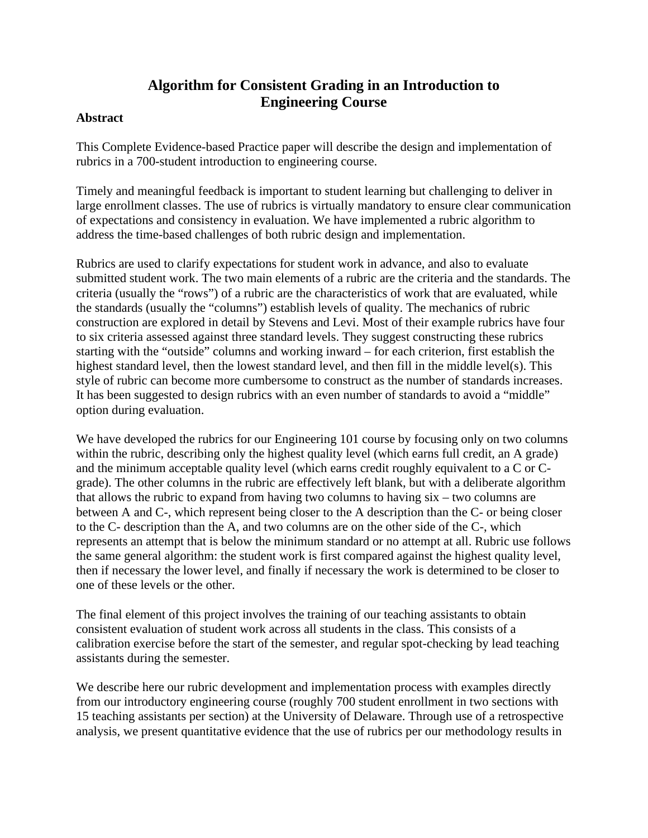# **Algorithm for Consistent Grading in an Introduction to Engineering Course**

### **Abstract**

This Complete Evidence-based Practice paper will describe the design and implementation of rubrics in a 700-student introduction to engineering course.

Timely and meaningful feedback is important to student learning but challenging to deliver in large enrollment classes. The use of rubrics is virtually mandatory to ensure clear communication of expectations and consistency in evaluation. We have implemented a rubric algorithm to address the time-based challenges of both rubric design and implementation.

Rubrics are used to clarify expectations for student work in advance, and also to evaluate submitted student work. The two main elements of a rubric are the criteria and the standards. The criteria (usually the "rows") of a rubric are the characteristics of work that are evaluated, while the standards (usually the "columns") establish levels of quality. The mechanics of rubric construction are explored in detail by Stevens and Levi. Most of their example rubrics have four to six criteria assessed against three standard levels. They suggest constructing these rubrics starting with the "outside" columns and working inward – for each criterion, first establish the highest standard level, then the lowest standard level, and then fill in the middle level(s). This style of rubric can become more cumbersome to construct as the number of standards increases. It has been suggested to design rubrics with an even number of standards to avoid a "middle" option during evaluation.

We have developed the rubrics for our Engineering 101 course by focusing only on two columns within the rubric, describing only the highest quality level (which earns full credit, an A grade) and the minimum acceptable quality level (which earns credit roughly equivalent to a C or Cgrade). The other columns in the rubric are effectively left blank, but with a deliberate algorithm that allows the rubric to expand from having two columns to having six – two columns are between A and C-, which represent being closer to the A description than the C- or being closer to the C- description than the A, and two columns are on the other side of the C-, which represents an attempt that is below the minimum standard or no attempt at all. Rubric use follows the same general algorithm: the student work is first compared against the highest quality level, then if necessary the lower level, and finally if necessary the work is determined to be closer to one of these levels or the other.

The final element of this project involves the training of our teaching assistants to obtain consistent evaluation of student work across all students in the class. This consists of a calibration exercise before the start of the semester, and regular spot-checking by lead teaching assistants during the semester.

We describe here our rubric development and implementation process with examples directly from our introductory engineering course (roughly 700 student enrollment in two sections with 15 teaching assistants per section) at the University of Delaware. Through use of a retrospective analysis, we present quantitative evidence that the use of rubrics per our methodology results in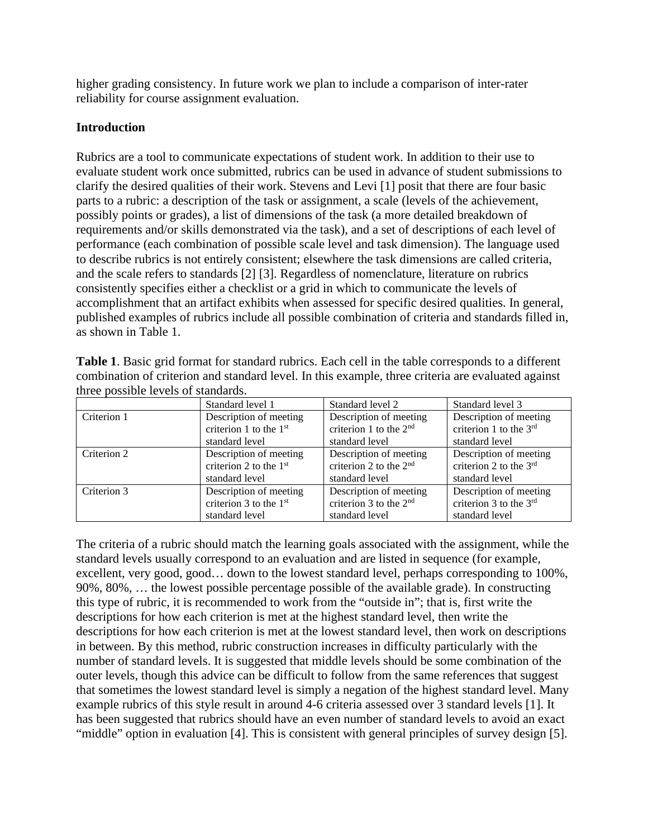higher grading consistency. In future work we plan to include a comparison of inter-rater reliability for course assignment evaluation.

## **Introduction**

Rubrics are a tool to communicate expectations of student work. In addition to their use to evaluate student work once submitted, rubrics can be used in advance of student submissions to clarify the desired qualities of their work. Stevens and Levi [1] posit that there are four basic parts to a rubric: a description of the task or assignment, a scale (levels of the achievement, possibly points or grades), a list of dimensions of the task (a more detailed breakdown of requirements and/or skills demonstrated via the task), and a set of descriptions of each level of performance (each combination of possible scale level and task dimension). The language used to describe rubrics is not entirely consistent; elsewhere the task dimensions are called criteria, and the scale refers to standards [2] [3]. Regardless of nomenclature, literature on rubrics consistently specifies either a checklist or a grid in which to communicate the levels of accomplishment that an artifact exhibits when assessed for specific desired qualities. In general, published examples of rubrics include all possible combination of criteria and standards filled in, as shown in Table 1.

| combination of criterion and standard level. In this example, three criteria are evaluated against |                        |                                                                                                               |  |  |  |
|----------------------------------------------------------------------------------------------------|------------------------|---------------------------------------------------------------------------------------------------------------|--|--|--|
| three possible levels of standards.                                                                |                        |                                                                                                               |  |  |  |
| Standard level 1                                                                                   |                        | Standard level 3                                                                                              |  |  |  |
| Description of meeting                                                                             |                        | Description of meeting<br>$m$ to $m \cdot 1$ to the 2rd                                                       |  |  |  |
|                                                                                                    | omitorion 1 to the 1st | Standard level 2<br>Description of meeting<br>$\omega$ to $\omega$ and $\omega$ to the $\gamma$ <sup>nd</sup> |  |  |  |

**Table 1**. Basic grid format for standard rubrics. Each cell in the table corresponds to a different

|             | Standard level 1         | Standard level 2           | Standard level 3           |
|-------------|--------------------------|----------------------------|----------------------------|
| Criterion 1 | Description of meeting   | Description of meeting     | Description of meeting     |
|             | criterion 1 to the $1st$ | criterion 1 to the $2nd$   | criterion 1 to the $3rd$   |
|             | standard level           | standard level             | standard level             |
| Criterion 2 | Description of meeting   | Description of meeting     | Description of meeting     |
|             | criterion 2 to the $1st$ | criterion 2 to the $2nd$   | criterion 2 to the $3rd$   |
|             | standard level           | standard level             | standard level             |
| Criterion 3 | Description of meeting   | Description of meeting     | Description of meeting     |
|             | criterion 3 to the $1st$ | criterion $3$ to the $2nd$ | criterion $3$ to the $3rd$ |
|             | standard level           | standard level             | standard level             |

The criteria of a rubric should match the learning goals associated with the assignment, while the standard levels usually correspond to an evaluation and are listed in sequence (for example, excellent, very good, good… down to the lowest standard level, perhaps corresponding to 100%, 90%, 80%, … the lowest possible percentage possible of the available grade). In constructing this type of rubric, it is recommended to work from the "outside in"; that is, first write the descriptions for how each criterion is met at the highest standard level, then write the descriptions for how each criterion is met at the lowest standard level, then work on descriptions in between. By this method, rubric construction increases in difficulty particularly with the number of standard levels. It is suggested that middle levels should be some combination of the outer levels, though this advice can be difficult to follow from the same references that suggest that sometimes the lowest standard level is simply a negation of the highest standard level. Many example rubrics of this style result in around 4-6 criteria assessed over 3 standard levels [1]. It has been suggested that rubrics should have an even number of standard levels to avoid an exact "middle" option in evaluation [4]. This is consistent with general principles of survey design [5].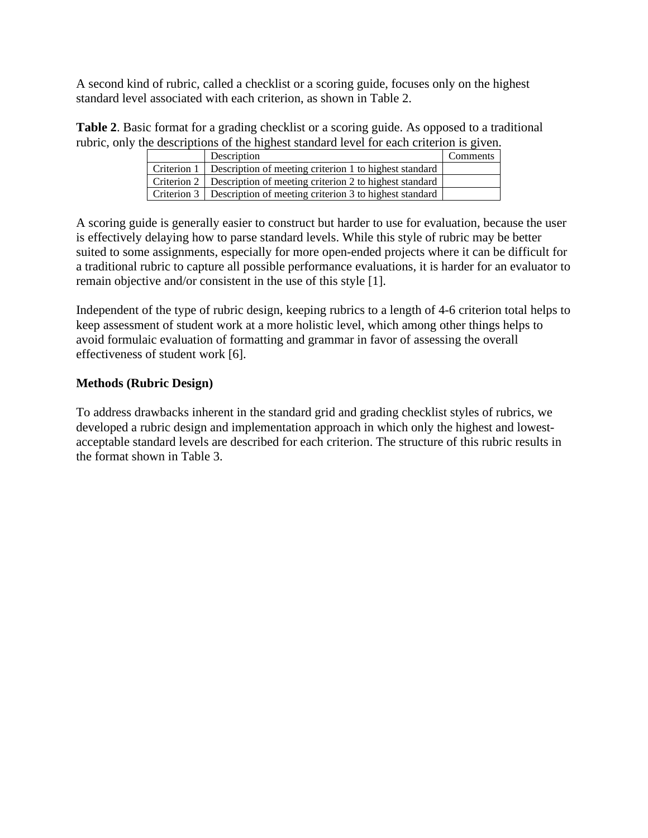A second kind of rubric, called a checklist or a scoring guide, focuses only on the highest standard level associated with each criterion, as shown in Table 2.

**Table 2**. Basic format for a grading checklist or a scoring guide. As opposed to a traditional rubric, only the descriptions of the highest standard level for each criterion is given.

| Description                                                          | <b>Comments</b> |
|----------------------------------------------------------------------|-----------------|
| Criterion 1   Description of meeting criterion 1 to highest standard |                 |
| Criterion 2 Description of meeting criterion 2 to highest standard   |                 |
| Criterion 3 Description of meeting criterion 3 to highest standard   |                 |

A scoring guide is generally easier to construct but harder to use for evaluation, because the user is effectively delaying how to parse standard levels. While this style of rubric may be better suited to some assignments, especially for more open-ended projects where it can be difficult for a traditional rubric to capture all possible performance evaluations, it is harder for an evaluator to remain objective and/or consistent in the use of this style [1].

Independent of the type of rubric design, keeping rubrics to a length of 4-6 criterion total helps to keep assessment of student work at a more holistic level, which among other things helps to avoid formulaic evaluation of formatting and grammar in favor of assessing the overall effectiveness of student work [6].

### **Methods (Rubric Design)**

To address drawbacks inherent in the standard grid and grading checklist styles of rubrics, we developed a rubric design and implementation approach in which only the highest and lowestacceptable standard levels are described for each criterion. The structure of this rubric results in the format shown in Table 3.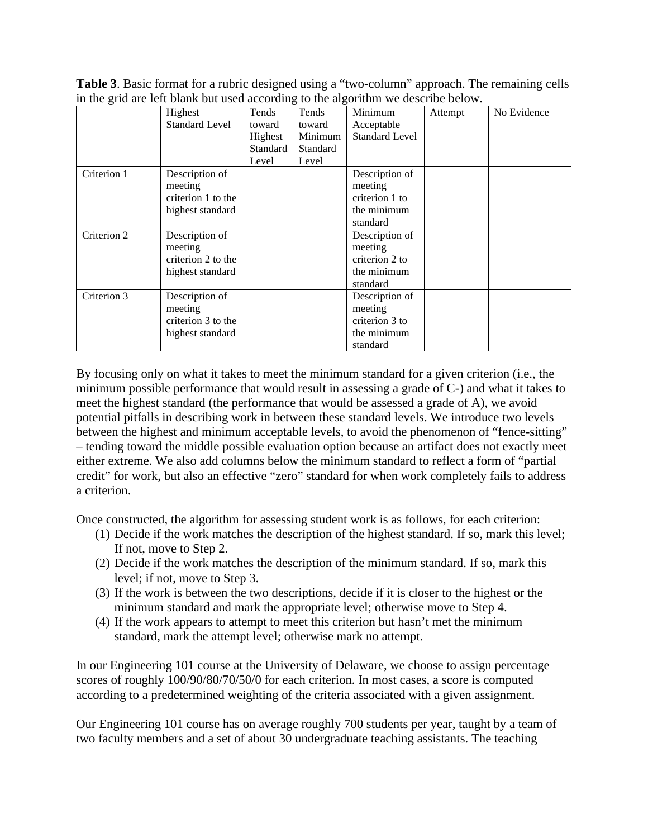**Table 3**. Basic format for a rubric designed using a "two-column" approach. The remaining cells in the grid are left blank but used according to the algorithm we describe below.

|             | Highest               | Tends    | Tends    | Minimum               | Attempt | No Evidence |
|-------------|-----------------------|----------|----------|-----------------------|---------|-------------|
|             | <b>Standard Level</b> | toward   | toward   | Acceptable            |         |             |
|             |                       | Highest  | Minimum  | <b>Standard Level</b> |         |             |
|             |                       | Standard | Standard |                       |         |             |
|             |                       | Level    | Level    |                       |         |             |
| Criterion 1 | Description of        |          |          | Description of        |         |             |
|             | meeting               |          |          | meeting               |         |             |
|             | criterion 1 to the    |          |          | criterion 1 to        |         |             |
|             | highest standard      |          |          | the minimum           |         |             |
|             |                       |          |          | standard              |         |             |
| Criterion 2 | Description of        |          |          | Description of        |         |             |
|             | meeting               |          |          | meeting               |         |             |
|             | criterion 2 to the    |          |          | criterion 2 to        |         |             |
|             | highest standard      |          |          | the minimum           |         |             |
|             |                       |          |          | standard              |         |             |
| Criterion 3 | Description of        |          |          | Description of        |         |             |
|             | meeting               |          |          | meeting               |         |             |
|             | criterion 3 to the    |          |          | criterion 3 to        |         |             |
|             | highest standard      |          |          | the minimum           |         |             |
|             |                       |          |          | standard              |         |             |

By focusing only on what it takes to meet the minimum standard for a given criterion (i.e., the minimum possible performance that would result in assessing a grade of C-) and what it takes to meet the highest standard (the performance that would be assessed a grade of A), we avoid potential pitfalls in describing work in between these standard levels. We introduce two levels between the highest and minimum acceptable levels, to avoid the phenomenon of "fence-sitting" – tending toward the middle possible evaluation option because an artifact does not exactly meet either extreme. We also add columns below the minimum standard to reflect a form of "partial credit" for work, but also an effective "zero" standard for when work completely fails to address a criterion.

Once constructed, the algorithm for assessing student work is as follows, for each criterion:

- (1) Decide if the work matches the description of the highest standard. If so, mark this level; If not, move to Step 2.
- (2) Decide if the work matches the description of the minimum standard. If so, mark this level; if not, move to Step 3.
- (3) If the work is between the two descriptions, decide if it is closer to the highest or the minimum standard and mark the appropriate level; otherwise move to Step 4.
- (4) If the work appears to attempt to meet this criterion but hasn't met the minimum standard, mark the attempt level; otherwise mark no attempt.

In our Engineering 101 course at the University of Delaware, we choose to assign percentage scores of roughly 100/90/80/70/50/0 for each criterion. In most cases, a score is computed according to a predetermined weighting of the criteria associated with a given assignment.

Our Engineering 101 course has on average roughly 700 students per year, taught by a team of two faculty members and a set of about 30 undergraduate teaching assistants. The teaching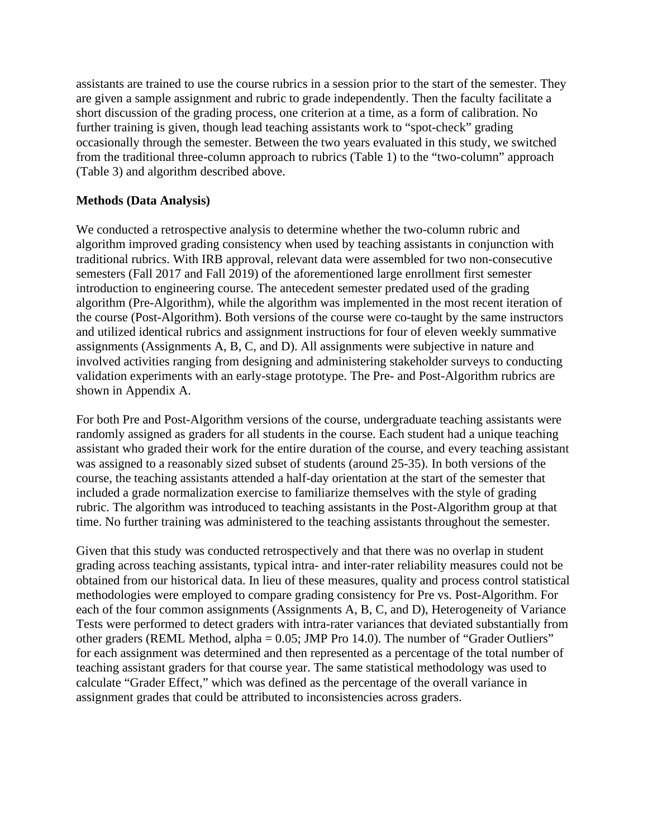assistants are trained to use the course rubrics in a session prior to the start of the semester. They are given a sample assignment and rubric to grade independently. Then the faculty facilitate a short discussion of the grading process, one criterion at a time, as a form of calibration. No further training is given, though lead teaching assistants work to "spot-check" grading occasionally through the semester. Between the two years evaluated in this study, we switched from the traditional three-column approach to rubrics (Table 1) to the "two-column" approach (Table 3) and algorithm described above.

### **Methods (Data Analysis)**

We conducted a retrospective analysis to determine whether the two-column rubric and algorithm improved grading consistency when used by teaching assistants in conjunction with traditional rubrics. With IRB approval, relevant data were assembled for two non-consecutive semesters (Fall 2017 and Fall 2019) of the aforementioned large enrollment first semester introduction to engineering course. The antecedent semester predated used of the grading algorithm (Pre-Algorithm), while the algorithm was implemented in the most recent iteration of the course (Post-Algorithm). Both versions of the course were co-taught by the same instructors and utilized identical rubrics and assignment instructions for four of eleven weekly summative assignments (Assignments A, B, C, and D). All assignments were subjective in nature and involved activities ranging from designing and administering stakeholder surveys to conducting validation experiments with an early-stage prototype. The Pre- and Post-Algorithm rubrics are shown in Appendix A.

For both Pre and Post-Algorithm versions of the course, undergraduate teaching assistants were randomly assigned as graders for all students in the course. Each student had a unique teaching assistant who graded their work for the entire duration of the course, and every teaching assistant was assigned to a reasonably sized subset of students (around 25-35). In both versions of the course, the teaching assistants attended a half-day orientation at the start of the semester that included a grade normalization exercise to familiarize themselves with the style of grading rubric. The algorithm was introduced to teaching assistants in the Post-Algorithm group at that time. No further training was administered to the teaching assistants throughout the semester.

Given that this study was conducted retrospectively and that there was no overlap in student grading across teaching assistants, typical intra- and inter-rater reliability measures could not be obtained from our historical data. In lieu of these measures, quality and process control statistical methodologies were employed to compare grading consistency for Pre vs. Post-Algorithm. For each of the four common assignments (Assignments A, B, C, and D), Heterogeneity of Variance Tests were performed to detect graders with intra-rater variances that deviated substantially from other graders (REML Method, alpha = 0.05; JMP Pro 14.0). The number of "Grader Outliers" for each assignment was determined and then represented as a percentage of the total number of teaching assistant graders for that course year. The same statistical methodology was used to calculate "Grader Effect," which was defined as the percentage of the overall variance in assignment grades that could be attributed to inconsistencies across graders.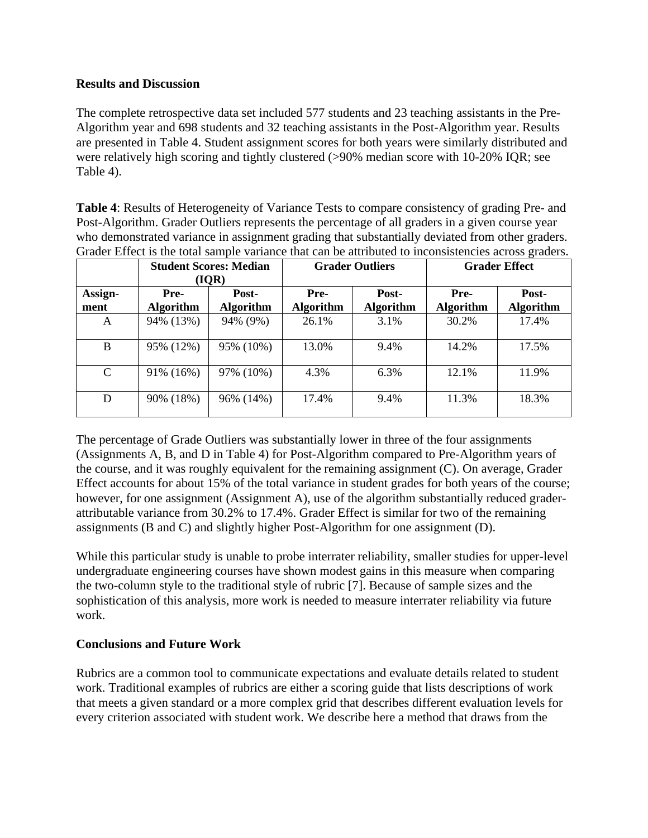### **Results and Discussion**

The complete retrospective data set included 577 students and 23 teaching assistants in the Pre-Algorithm year and 698 students and 32 teaching assistants in the Post-Algorithm year. Results are presented in Table 4. Student assignment scores for both years were similarly distributed and were relatively high scoring and tightly clustered (>90% median score with 10-20% IQR; see Table 4).

**Table 4**: Results of Heterogeneity of Variance Tests to compare consistency of grading Pre- and Post-Algorithm. Grader Outliers represents the percentage of all graders in a given course year who demonstrated variance in assignment grading that substantially deviated from other graders. Grader Effect is the total sample variance that can be attributed to inconsistencies across graders.

|                 | <b>Student Scores: Median</b><br>(IQR) |                           | <b>Grader Outliers</b>   |                           | <b>Grader Effect</b>     |                           |
|-----------------|----------------------------------------|---------------------------|--------------------------|---------------------------|--------------------------|---------------------------|
| Assign-<br>ment | Pre-<br><b>Algorithm</b>               | Post-<br><b>Algorithm</b> | Pre-<br><b>Algorithm</b> | Post-<br><b>Algorithm</b> | Pre-<br><b>Algorithm</b> | Post-<br><b>Algorithm</b> |
| A               | 94% (13%)                              | 94% (9%)                  | 26.1%                    | 3.1%                      | 30.2%                    | 17.4%                     |
| B               | 95% (12%)                              | 95% (10%)                 | 13.0%                    | 9.4%                      | 14.2%                    | 17.5%                     |
| $\mathcal{C}$   | 91% (16%)                              | 97% (10%)                 | 4.3%                     | 6.3%                      | 12.1%                    | 11.9%                     |
| D               | 90% (18%)                              | 96% (14%)                 | 17.4%                    | 9.4%                      | 11.3%                    | 18.3%                     |

The percentage of Grade Outliers was substantially lower in three of the four assignments (Assignments A, B, and D in Table 4) for Post-Algorithm compared to Pre-Algorithm years of the course, and it was roughly equivalent for the remaining assignment (C). On average, Grader Effect accounts for about 15% of the total variance in student grades for both years of the course; however, for one assignment (Assignment A), use of the algorithm substantially reduced graderattributable variance from 30.2% to 17.4%. Grader Effect is similar for two of the remaining assignments (B and C) and slightly higher Post-Algorithm for one assignment (D).

While this particular study is unable to probe interrater reliability, smaller studies for upper-level undergraduate engineering courses have shown modest gains in this measure when comparing the two-column style to the traditional style of rubric [7]. Because of sample sizes and the sophistication of this analysis, more work is needed to measure interrater reliability via future work.

## **Conclusions and Future Work**

Rubrics are a common tool to communicate expectations and evaluate details related to student work. Traditional examples of rubrics are either a scoring guide that lists descriptions of work that meets a given standard or a more complex grid that describes different evaluation levels for every criterion associated with student work. We describe here a method that draws from the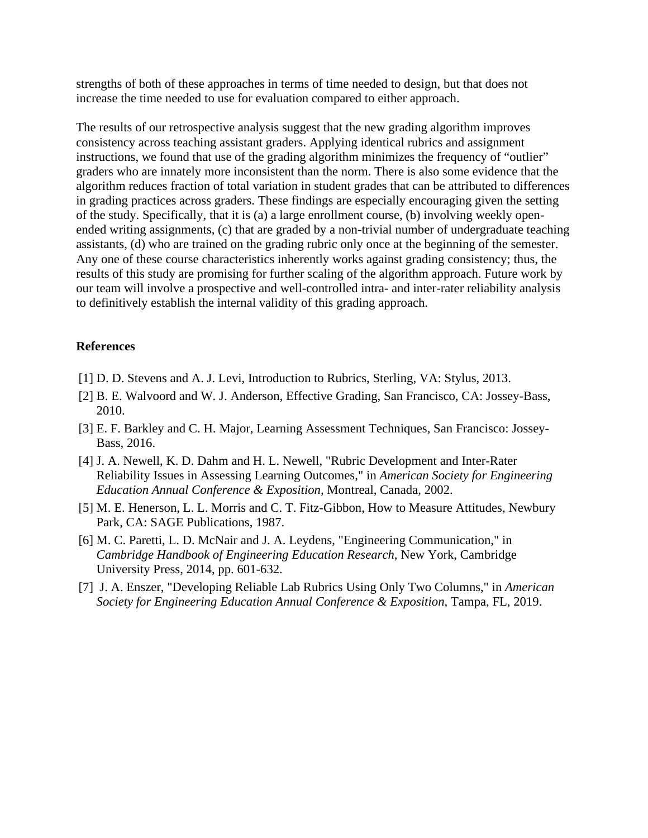strengths of both of these approaches in terms of time needed to design, but that does not increase the time needed to use for evaluation compared to either approach.

The results of our retrospective analysis suggest that the new grading algorithm improves consistency across teaching assistant graders. Applying identical rubrics and assignment instructions, we found that use of the grading algorithm minimizes the frequency of "outlier" graders who are innately more inconsistent than the norm. There is also some evidence that the algorithm reduces fraction of total variation in student grades that can be attributed to differences in grading practices across graders. These findings are especially encouraging given the setting of the study. Specifically, that it is (a) a large enrollment course, (b) involving weekly openended writing assignments, (c) that are graded by a non-trivial number of undergraduate teaching assistants, (d) who are trained on the grading rubric only once at the beginning of the semester. Any one of these course characteristics inherently works against grading consistency; thus, the results of this study are promising for further scaling of the algorithm approach. Future work by our team will involve a prospective and well-controlled intra- and inter-rater reliability analysis to definitively establish the internal validity of this grading approach.

#### **References**

- [1] D. D. Stevens and A. J. Levi, Introduction to Rubrics, Sterling, VA: Stylus, 2013.
- [2] B. E. Walvoord and W. J. Anderson, Effective Grading, San Francisco, CA: Jossey-Bass, 2010.
- [3] E. F. Barkley and C. H. Major, Learning Assessment Techniques, San Francisco: Jossey-Bass, 2016.
- [4] J. A. Newell, K. D. Dahm and H. L. Newell, "Rubric Development and Inter-Rater Reliability Issues in Assessing Learning Outcomes," in *American Society for Engineering Education Annual Conference & Exposition*, Montreal, Canada, 2002.
- [5] M. E. Henerson, L. L. Morris and C. T. Fitz-Gibbon, How to Measure Attitudes, Newbury Park, CA: SAGE Publications, 1987.
- [6] M. C. Paretti, L. D. McNair and J. A. Leydens, "Engineering Communication," in *Cambridge Handbook of Engineering Education Research*, New York, Cambridge University Press, 2014, pp. 601-632.
- [7] J. A. Enszer, "Developing Reliable Lab Rubrics Using Only Two Columns," in *American Society for Engineering Education Annual Conference & Exposition*, Tampa, FL, 2019.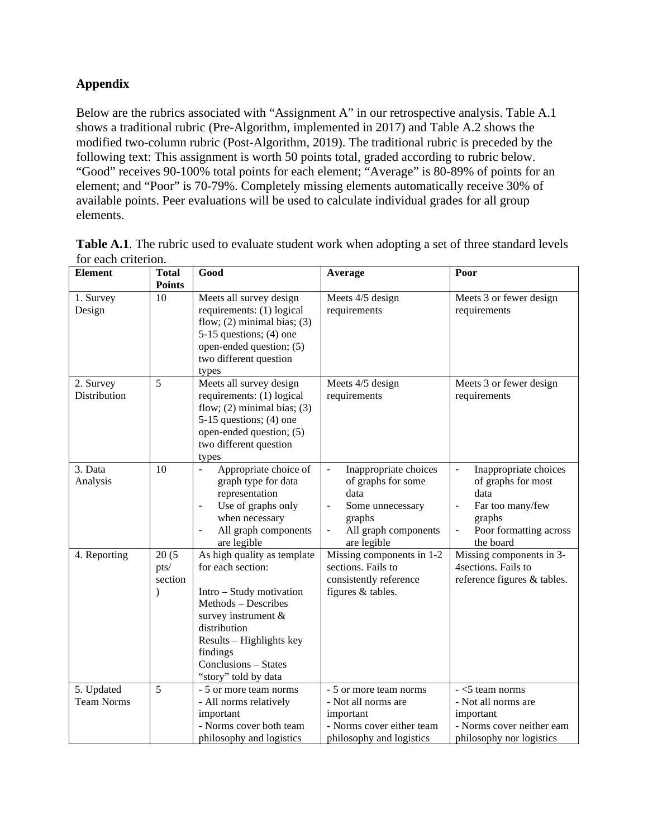## **Appendix**

Below are the rubrics associated with "Assignment A" in our retrospective analysis. Table A.1 shows a traditional rubric (Pre-Algorithm, implemented in 2017) and Table A.2 shows the modified two-column rubric (Post-Algorithm, 2019). The traditional rubric is preceded by the following text: This assignment is worth 50 points total, graded according to rubric below. "Good" receives 90-100% total points for each element; "Average" is 80-89% of points for an element; and "Poor" is 70-79%. Completely missing elements automatically receive 30% of available points. Peer evaluations will be used to calculate individual grades for all group elements.

| <b>Element</b>                  | <b>Total</b><br><b>Points</b>         | Good                                                                                                                                                                                                                               | Average                                                                                                                                                                                      | Poor                                                                                                                                                                                                   |
|---------------------------------|---------------------------------------|------------------------------------------------------------------------------------------------------------------------------------------------------------------------------------------------------------------------------------|----------------------------------------------------------------------------------------------------------------------------------------------------------------------------------------------|--------------------------------------------------------------------------------------------------------------------------------------------------------------------------------------------------------|
| 1. Survey<br>Design             | 10                                    | Meets all survey design<br>requirements: (1) logical<br>flow; $(2)$ minimal bias; $(3)$<br>$5-15$ questions; (4) one<br>open-ended question; (5)<br>two different question<br>types                                                | Meets 4/5 design<br>requirements                                                                                                                                                             | Meets 3 or fewer design<br>requirements                                                                                                                                                                |
| 2. Survey<br>Distribution       | 5                                     | Meets all survey design<br>requirements: (1) logical<br>flow; $(2)$ minimal bias; $(3)$<br>$5-15$ questions; (4) one<br>open-ended question; (5)<br>two different question<br>types                                                | Meets 4/5 design<br>requirements                                                                                                                                                             | Meets 3 or fewer design<br>requirements                                                                                                                                                                |
| 3. Data<br>Analysis             | 10                                    | Appropriate choice of<br>$\blacksquare$<br>graph type for data<br>representation<br>Use of graphs only<br>$\overline{\phantom{a}}$<br>when necessary<br>All graph components<br>are legible                                        | Inappropriate choices<br>$\blacksquare$<br>of graphs for some<br>data<br>Some unnecessary<br>$\blacksquare$<br>graphs<br>All graph components<br>$\qquad \qquad \blacksquare$<br>are legible | Inappropriate choices<br>$\blacksquare$<br>of graphs for most<br>data<br>Far too many/few<br>$\qquad \qquad \blacksquare$<br>graphs<br>Poor formatting across<br>$\overline{\phantom{0}}$<br>the board |
| 4. Reporting                    | 20(5)<br>pts/<br>section<br>$\lambda$ | As high quality as template<br>for each section:<br>Intro – Study motivation<br>Methods - Describes<br>survey instrument &<br>distribution<br>Results - Highlights key<br>findings<br>Conclusions - States<br>"story" told by data | Missing components in 1-2<br>sections. Fails to<br>consistently reference<br>figures & tables.                                                                                               | Missing components in 3-<br>4 sections. Fails to<br>reference figures & tables.                                                                                                                        |
| 5. Updated<br><b>Team Norms</b> | 5                                     | - 5 or more team norms<br>- All norms relatively<br>important<br>- Norms cover both team<br>philosophy and logistics                                                                                                               | $\overline{-5}$ or more team norms<br>- Not all norms are<br>important<br>- Norms cover either team<br>philosophy and logistics                                                              | $-$ <5 team norms<br>- Not all norms are<br>important<br>- Norms cover neither eam<br>philosophy nor logistics                                                                                         |

Table A.1. The rubric used to evaluate student work when adopting a set of three standard levels for each criterion.